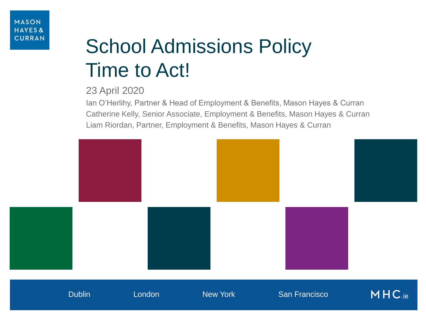# School Admissions Policy Time to Act!

#### 23 April 2020

Ian O'Herlihy, Partner & Head of Employment & Benefits, Mason Hayes & Curran Catherine Kelly, Senior Associate, Employment & Benefits, Mason Hayes & Curran Liam Riordan, Partner, Employment & Benefits, Mason Hayes & Curran

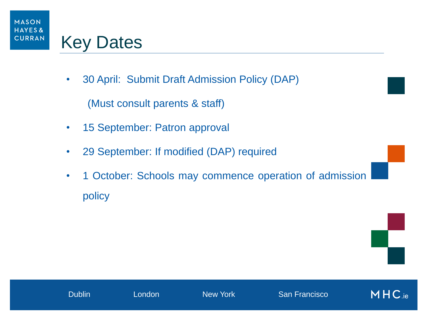

### Key Dates

• 30 April: Submit Draft Admission Policy (DAP)

(Must consult parents & staff)

- 15 September: Patron approval
- 29 September: If modified (DAP) required
- 1 October: Schools may commence operation of admission policy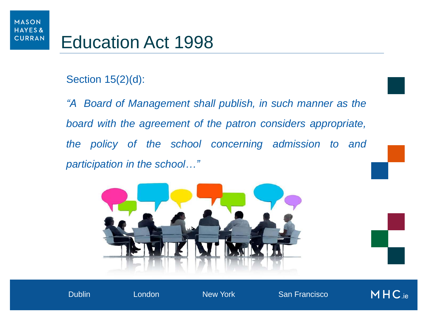### Section 15(2)(d):

*"A Board of Management shall publish, in such manner as the board with the agreement of the patron considers appropriate, the policy of the school concerning admission to and participation in the school…"* 



Dublin London New York San Franscisco Dublin London New York San Francisco

MHC.ie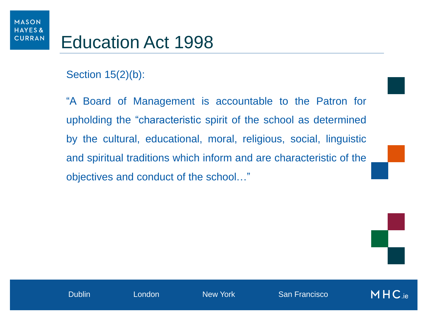#### Section 15(2)(b):

"A Board of Management is accountable to the Patron for upholding the "characteristic spirit of the school as determined by the cultural, educational, moral, religious, social, linguistic and spiritual traditions which inform and are characteristic of the objectives and conduct of the school…"

 $MHC_{\text{.ie}}$ 

Dublin London New York San Franscisco Dublin London New York San Francisco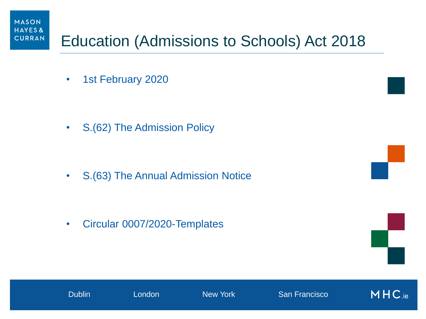

### Education (Admissions to Schools) Act 2018

• 1st February 2020

• S.(62) The Admission Policy

• S.(63) The Annual Admission Notice

• Circular 0007/2020-Templates





Dublin London New York San Franscisco Dublin London New York San Francisco

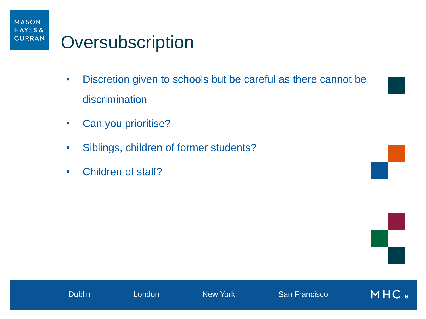

### **Oversubscription**

- Discretion given to schools but be careful as there cannot be discrimination
- Can you prioritise?
- Siblings, children of former students?
- Children of staff?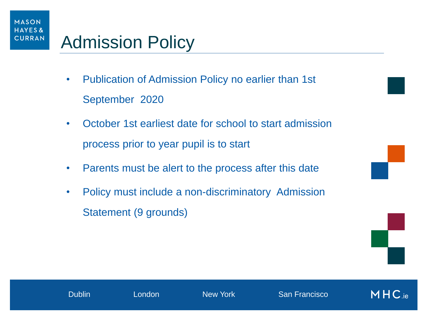### Admission Policy

- Publication of Admission Policy no earlier than 1st September 2020
- October 1st earliest date for school to start admission process prior to year pupil is to start
- Parents must be alert to the process after this date
- Policy must include a non-discriminatory Admission Statement (9 grounds)



 $MHC_{\text{.ie}}$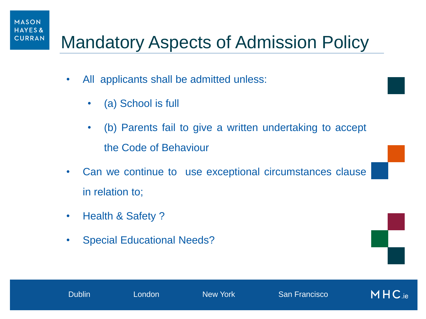#### **MASON HAYES& CURRAN**

### Mandatory Aspects of Admission Policy

- All applicants shall be admitted unless:
	- (a) School is full
	- (b) Parents fail to give a written undertaking to accept the Code of Behaviour
- Can we continue to use exceptional circumstances clause in relation to;
- Health & Safety?
- Special Educational Needs?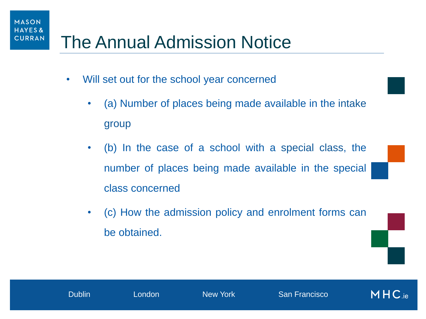#### **MASON HAYES& CURRAN**

### The Annual Admission Notice

- Will set out for the school year concerned
	- (a) Number of places being made available in the intake group
	- (b) In the case of a school with a special class, the number of places being made available in the special class concerned
	- (c) How the admission policy and enrolment forms can be obtained.

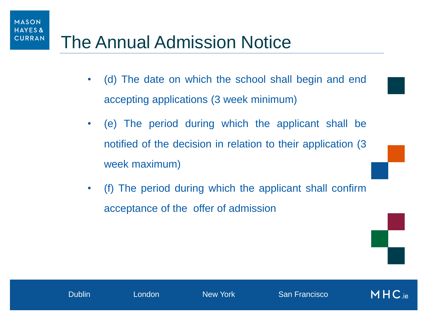

### The Annual Admission Notice

- (d) The date on which the school shall begin and end accepting applications (3 week minimum)
- (e) The period during which the applicant shall be notified of the decision in relation to their application (3 week maximum)
- (f) The period during which the applicant shall confirm acceptance of the offer of admission

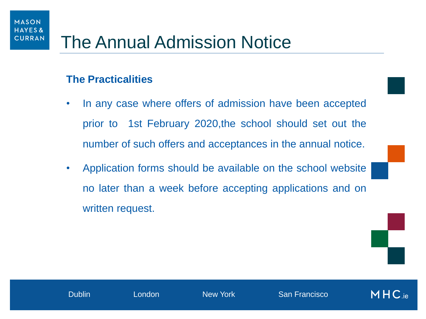#### **The Practicalities**

- In any case where offers of admission have been accepted prior to 1st February 2020,the school should set out the number of such offers and acceptances in the annual notice.
- Application forms should be available on the school website no later than a week before accepting applications and on written request.

 $MHC_{\text{.ie}}$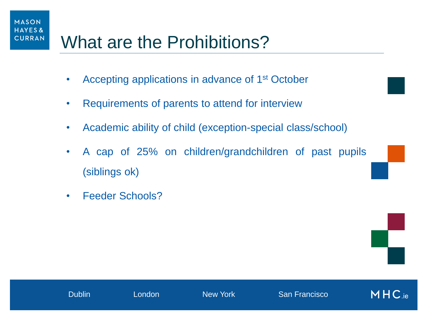# What are the Prohibitions?

- Accepting applications in advance of 1<sup>st</sup> October
- Requirements of parents to attend for interview
- Academic ability of child (exception-special class/school)
- A cap of 25% on children/grandchildren of past pupils (siblings ok)
- Feeder Schools?

**MASON HAYES& CURRAN**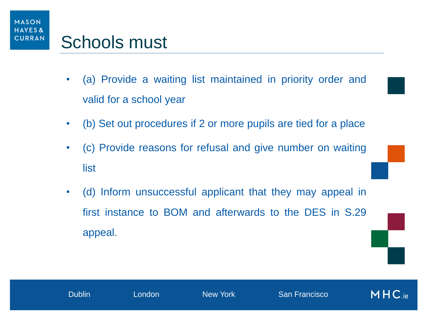

- (a) Provide a waiting list maintained in priority order and valid for a school year
- (b) Set out procedures if 2 or more pupils are tied for a place
- (c) Provide reasons for refusal and give number on waiting list
- (d) Inform unsuccessful applicant that they may appeal in first instance to BOM and afterwards to the DES in S.29 appeal.

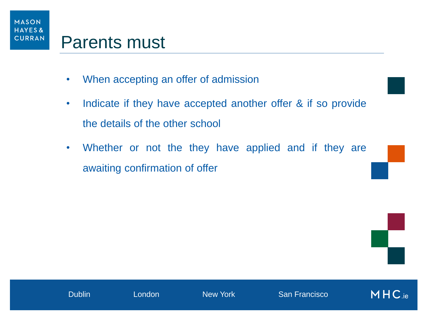

- When accepting an offer of admission
- Indicate if they have accepted another offer & if so provide the details of the other school
- Whether or not the they have applied and if they are awaiting confirmation of offer

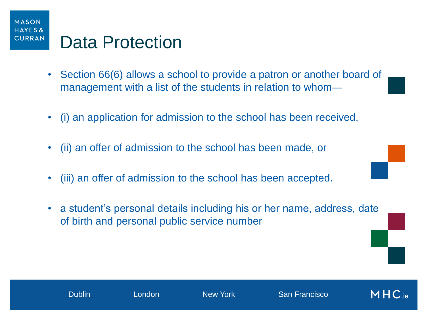

- Section 66(6) allows a school to provide a patron or another board of management with a list of the students in relation to whom—
- (i) an application for admission to the school has been received,
- (ii) an offer of admission to the school has been made, or
- (iii) an offer of admission to the school has been accepted.
- a student's personal details including his or her name, address, date of birth and personal public service number

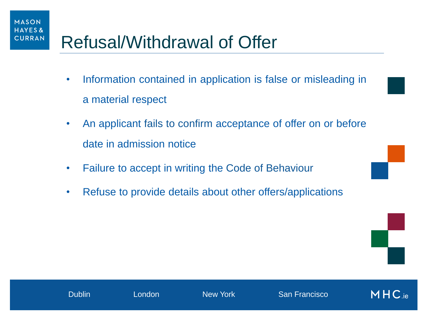# Refusal/Withdrawal of Offer

**MASON HAYES& CURRAN** 

- Information contained in application is false or misleading in a material respect
- An applicant fails to confirm acceptance of offer on or before date in admission notice
- Failure to accept in writing the Code of Behaviour
- Refuse to provide details about other offers/applications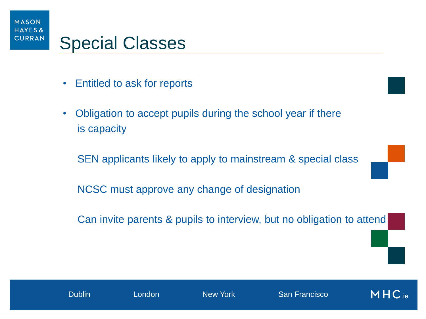

- Entitled to ask for reports
- Obligation to accept pupils during the school year if there is capacity

SEN applicants likely to apply to mainstream & special class

NCSC must approve any change of designation

Can invite parents & pupils to interview, but no obligation to attend

Dublin London New York San Franscisco Dublin London New York San Francisco

 $MHC_{\text{.ie}}$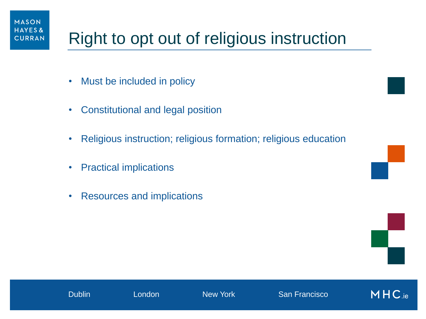## Right to opt out of religious instruction

• Must be included in policy

**MASON HAYES& CURRAN** 

- Constitutional and legal position
- Religious instruction; religious formation; religious education
- Practical implications
- Resources and implications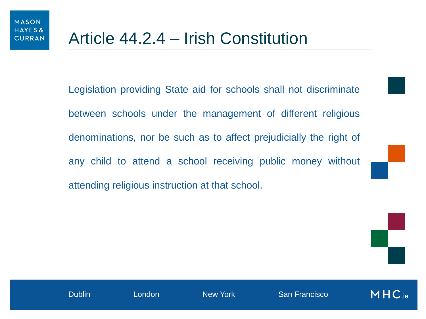Legislation providing State aid for schools shall not discriminate between schools under the management of different religious denominations, nor be such as to affect prejudicially the right of any child to attend a school receiving public money without attending religious instruction at that school.



Dublin London New York San Franscisco Dublin London New York San Francisco

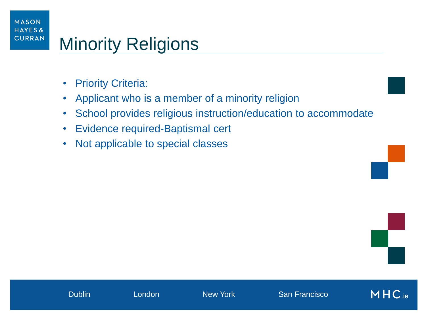#### **MASON HAYES& CURRAN** Minority Religions

- Priority Criteria:
- Applicant who is a member of a minority religion
- School provides religious instruction/education to accommodate
- Evidence required-Baptismal cert
- Not applicable to special classes

MHC.ie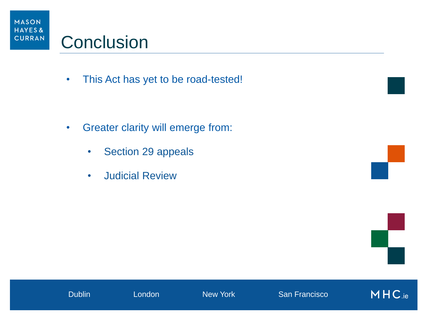

### **Conclusion**

• This Act has yet to be road-tested!

- Greater clarity will emerge from:
	- Section 29 appeals
	- Judicial Review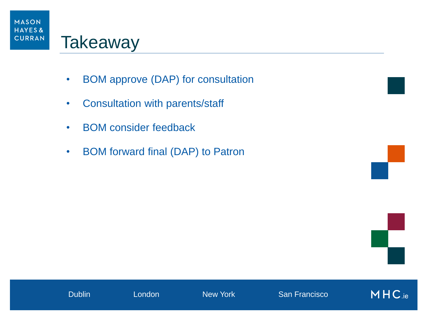

- BOM approve (DAP) for consultation
- Consultation with parents/staff
- BOM consider feedback
- BOM forward final (DAP) to Patron



MHC.ie

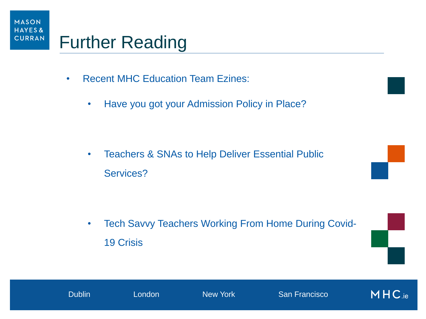

- Recent MHC Education Team Ezines:
	- Have you got your Admission Policy in Place?

• Teachers & SNAs to Help Deliver Essential Public Services?

Dublin London New York San Franscisco Dublin London New York San Francisco

• Tech Savvy Teachers Working From Home During Covid-19 Crisis

MHC.ie